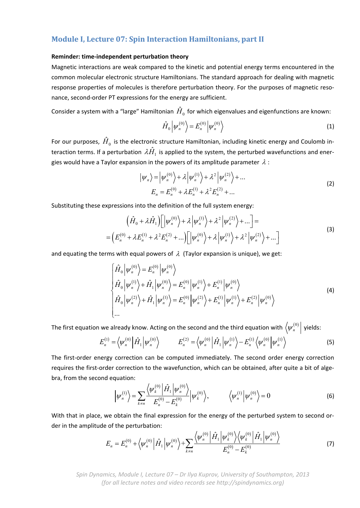# **Module I, Lecture 07: Spin Interaction Hamiltonians, part II**

# **Reminder: time‐independent perturbation theory**

Magnetic interactions are weak compared to the kinetic and potential energy terms encountered in the common molecular electronic structure Hamiltonians. The standard approach for dealing with magnetic response properties of molecules is therefore perturbation theory. For the purposes of magnetic resonance, second‐order PT expressions for the energy are sufficient.

Consider a system with a "large" Hamiltonian  $\hat{H}_0$  for which eigenvalues and eigenfunctions are known:

$$
\hat{H}_0 \left| \psi_n^{(0)} \right\rangle = E_n^{(0)} \left| \psi_n^{(0)} \right\rangle \tag{1}
$$

For our purposes,  $\hat{H}^{\,}_{0}$  is the electronic structure Hamiltonian, including kinetic energy and Coulomb interaction terms. If a perturbation  $\lambda \hat{H}_1$  is applied to the system, the perturbed wavefunctions and energies would have a Taylor expansion in the powers of its amplitude parameter  $\lambda$  :

$$
\left| \psi_n \right\rangle = \left| \psi_n^{(0)} \right\rangle + \lambda \left| \psi_n^{(1)} \right\rangle + \lambda^2 \left| \psi_n^{(2)} \right\rangle + \dots
$$
  
\n
$$
E_n = E_n^{(0)} + \lambda E_n^{(1)} + \lambda^2 E_n^{(2)} + \dots
$$
\n(2)

Substituting these expressions into the definition of the full system energy:

$$
\left(\hat{H}_0 + \lambda \hat{H}_1\right) \left[ \left| \psi_n^{(0)} \right\rangle + \lambda \left| \psi_n^{(1)} \right\rangle + \lambda^2 \left| \psi_n^{(2)} \right\rangle + \dots \right] =
$$
\n
$$
= \left( E_n^{(0)} + \lambda E_n^{(1)} + \lambda^2 E_n^{(2)} + \dots \right) \left[ \left| \psi_n^{(0)} \right\rangle + \lambda \left| \psi_n^{(1)} \right\rangle + \lambda^2 \left| \psi_n^{(2)} \right\rangle + \dots \right]
$$
\n(3)

and equating the terms with equal powers of  $\lambda$  (Taylor expansion is unique), we get:

$$
\begin{cases}\n\hat{H}_0 \left| \psi_n^{(0)} \right\rangle = E_n^{(0)} \left| \psi_n^{(0)} \right\rangle \\
\hat{H}_0 \left| \psi_n^{(1)} \right\rangle + \hat{H}_1 \left| \psi_n^{(0)} \right\rangle = E_n^{(0)} \left| \psi_n^{(1)} \right\rangle + E_n^{(1)} \left| \psi_n^{(0)} \right\rangle \\
\hat{H}_0 \left| \psi_n^{(2)} \right\rangle + \hat{H}_1 \left| \psi_n^{(1)} \right\rangle = E_n^{(0)} \left| \psi_n^{(2)} \right\rangle + E_n^{(1)} \left| \psi_n^{(1)} \right\rangle + E_n^{(2)} \left| \psi_n^{(0)} \right\rangle \\
\dots\n\end{cases}
$$
\n(4)

The first equation we already know. Acting on the second and the third equation with  $\left\langle \psi_n^{(0)}\right|$  yields:

$$
E_n^{(1)} = \left\langle \psi_n^{(0)} \middle| \hat{H}_1 \middle| \psi_n^{(0)} \right\rangle \qquad E_n^{(2)} = \left\langle \psi_n^{(0)} \middle| \hat{H}_1 \middle| \psi_n^{(1)} \right\rangle - E_n^{(1)} \left\langle \psi_n^{(0)} \middle| \psi_n^{(1)} \right\rangle \tag{5}
$$

The first-order energy correction can be computed immediately. The second order energy correction requires the first-order correction to the wavefunction, which can be obtained, after quite a bit of algebra, from the second equation:

$$
\left|\psi_n^{(1)}\right\rangle = \sum_{k \neq n} \frac{\left\langle \psi_k^{(0)} \right| \hat{H}_1 \left| \psi_n^{(0)} \right\rangle}{E_n^{(0)} - E_k^{(0)}} \left| \psi_k^{(0)} \right\rangle, \qquad \left\langle \psi_n^{(1)} \left| \psi_n^{(0)} \right\rangle = 0 \tag{6}
$$

With that in place, we obtain the final expression for the energy of the perturbed system to second order in the amplitude of the perturbation:

$$
E_n = E_n^{(0)} + \left\langle \psi_n^{(0)} \left| \hat{H}_1 \right| \psi_n^{(0)} \right\rangle + \sum_{k \neq n} \frac{\left\langle \psi_n^{(0)} \left| \hat{H}_1 \left| \psi_k^{(0)} \right\rangle \left\langle \psi_k^{(0)} \right| \hat{H}_1 \left| \psi_n^{(0)} \right\rangle \right\rangle}{E_n^{(0)} - E_k^{(0)}} \tag{7}
$$

*Spin Dynamics, Module I, Lecture 07 – Dr Ilya Kuprov, University of Southampton, 2013 (for all lecture notes and video records see http://spindynamics.org)*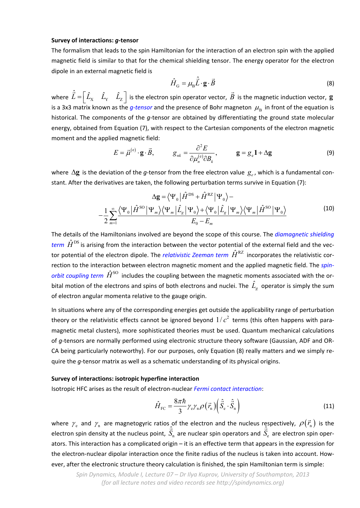## **Survey of interactions:** *g***‐tensor**

The formalism that leads to the spin Hamiltonian for the interaction of an electron spin with the applied magnetic field is similar to that for the chemical shielding tensor. The energy operator for the electron dipole in an external magnetic field is

$$
\hat{H}_{\rm G} = \mu_{\rm B} \hat{\vec{L}} \cdot \mathbf{g} \cdot \vec{B} \tag{8}
$$

where  $\hat{\vec{L}} = \begin{bmatrix} \hat{L}_X & \hat{L}_Y & \hat{L}_Z \end{bmatrix}$  is the electron spin operator vector,  $\vec{B}$ is the magnetic induction vector, **g** is a 3x3 matrix known as the *g-tensor* and the presence of Bohr magneton  $\mu_B$  in front of the equation is historical. The components of the *g*-tensor are obtained by differentiating the ground state molecular energy, obtained from Equation (7), with respect to the Cartesian components of the electron magnetic moment and the applied magnetic field:

$$
E = \vec{\mu}^{(e)} \cdot \mathbf{g} \cdot \vec{B}, \qquad g_{nk} = \frac{\partial^2 E}{\partial \mu_n^{(e)} \partial B_k}, \qquad \mathbf{g} = g_e \mathbf{1} + \Delta \mathbf{g}
$$
 (9)

where  $\Delta$ **g** is the deviation of the *g*-tensor from the free electron value  $g_e$ , which is a fundamental constant. After the derivatives are taken, the following perturbation terms survive in Equation (7):

$$
\Delta \mathbf{g} = \langle \Psi_0 | \hat{H}^{DS} + \hat{H}^{RZ} | \Psi_0 \rangle -
$$

$$
-\frac{1}{2} \sum_{m=1}^{\infty} \frac{\langle \Psi_0 | \hat{H}^{SO} | \Psi_m \rangle \langle \Psi_m | \hat{L}_g | \Psi_0 \rangle + \langle \Psi_0 | \hat{L}_g | \Psi_m \rangle \langle \Psi_m | \hat{H}^{SO} | \Psi_0 \rangle}{E_0 - E_m}
$$
(10)

The details of the Hamiltonians involved are beyond the scope of this course. The *diamagnetic shielding term*  $\hat{H}^{\text{DS}}$  is arising from the interaction between the vector potential of the external field and the vector potential of the electron dipole. The *relativistic Zeeman term*  $\hat{H}^{\text{RZ}}$  incorporates the relativistic correction to the interaction between electron magnetic moment and the applied magnetic field. The *spin‐ orbit coupling term*  $\hat{H}^{\text{SO}}$  includes the coupling between the magnetic moments associated with the orbital motion of the electrons and spins of both electrons and nuclei. The  $\hat{L_{g}}$  operator is simply the sum of electron angular momenta relative to the gauge origin.

In situations where any of the corresponding energies get outside the applicability range of perturbation theory or the relativistic effects cannot be ignored beyond  $1/c<sup>2</sup>$  terms (this often happens with paramagnetic metal clusters), more sophisticated theories must be used. Quantum mechanical calculations of *g*-tensors are normally performed using electronic structure theory software (Gaussian, ADF and OR-CA being particularly noteworthy). For our purposes, only Equation (8) really matters and we simply re‐ quire the *q*-tensor matrix as well as a schematic understanding of its physical origins.

# **Survey of interactions: isotropic hyperfine interaction**

Isotropic HFC arises as the result of electron‐nuclear *Fermi contact interaction*:

$$
\hat{H}_{\rm FC} = \frac{8\pi\hbar}{3} \gamma_{\rm e} \gamma_{\rm n} \rho \left(\vec{r}_{\rm n}\right) \left(\hat{\vec{S}}_{\rm e} \cdot \hat{\vec{S}}_{\rm n}\right) \tag{11}
$$

where  $\gamma_{\rm e}$  and  $\gamma_{\rm n}$  are magnetogyric ratios of the electron and the nucleus respectively,  $\rho(\vec{r}_{\rm n})$  is the electron spin density at the nucleus point,  $S_{\text{n}}$ ˆ *S*  $\hat{z}$ are nuclear spin operators and  $S_{\rm e}$ ˆ *S* ⊂<br>⇒ are electron spin oper‐ ators. This interaction has a complicated origin – it is an effective term that appears in the expression for the electron-nuclear dipolar interaction once the finite radius of the nucleus is taken into account. However, after the electronic structure theory calculation is finished, the spin Hamiltonian term is simple: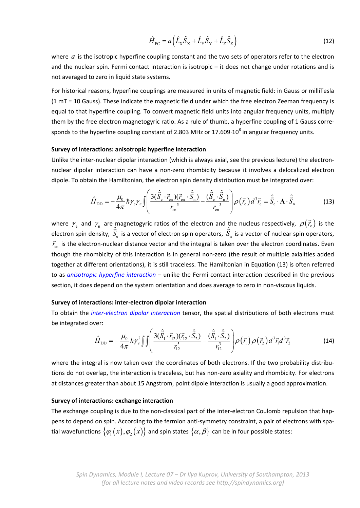$$
\hat{H}_{\rm FC} = a \left( \hat{L}_{\rm x} \hat{S}_{\rm x} + \hat{L}_{\rm y} \hat{S}_{\rm y} + \hat{L}_{\rm z} \hat{S}_{\rm z} \right)
$$
(12)

where *a* is the isotropic hyperfine coupling constant and the two sets of operators refer to the electron and the nuclear spin. Fermi contact interaction is isotropic – it does not change under rotations and is not averaged to zero in liquid state systems.

For historical reasons, hyperfine couplings are measured in units of magnetic field: in Gauss or milliTesla (1 mT = 10 Gauss). These indicate the magnetic field under which the free electron Zeeman frequency is equal to that hyperfine coupling. To convert magnetic field units into angular frequency units, multiply them by the free electron magnetogyric ratio. As a rule of thumb, a hyperfine coupling of 1 Gauss corre‐ sponds to the hyperfine coupling constant of 2.803 MHz or 17.609 $\cdot 10^6$  in angular frequency units.

## **Survey of interactions: anisotropic hyperfine interaction**

Unlike the inter‐nuclear dipolar interaction (which is always axial, see the previous lecture) the electron‐ nuclear dipolar interaction can have a non‐zero rhombicity because it involves a delocalized electron dipole. To obtain the Hamiltonian, the electron spin density distribution must be integrated over:

$$
\hat{H}_{\rm DD} = -\frac{\mu_0}{4\pi} \hbar \gamma_{\rm e} \gamma_n \int \left( \frac{3(\hat{\vec{S}}_{\rm e} \cdot \vec{r}_{\rm en})(\vec{r}_{\rm en} \cdot \hat{\vec{S}}_n)}{r_{\rm en}^5} - \frac{(\hat{\vec{S}}_{\rm e} \cdot \hat{\vec{S}}_n)}{r_{\rm en}^3} \right) \rho(\vec{r}_{\rm e}) d^3 \vec{r}_{\rm e} = \hat{\vec{S}}_{\rm e} \cdot \mathbf{A} \cdot \hat{\vec{S}}_n \tag{13}
$$

where  $\gamma_e$  and  $\gamma_n$  are magnetogyric ratios of the electron and the nucleus respectively,  $\rho(\vec{r}_e)$  is the electron spin density,  $S_{\scriptscriptstyle\rm e}$  $\hat{\vec{S}}_{\text{e}}$  is a vector of electron spin operators,  $\hat{\vec{S}}_{\text{n}}$  $\hat{\vec{S}}_n$  is a vector of nuclear spin operators, en *r*<sub>en</sub> is the electron-nuclear distance vector and the integral is taken over the electron coordinates. Even though the rhombicity of this interaction is in general non‐zero (the result of multiple axialities added together at different orientations), it is still traceless. The Hamiltonian in Equation (13) is often referred to as *anisotropic hyperfine interaction* – unlike the Fermi contact interaction described in the previous section, it does depend on the system orientation and does average to zero in non-viscous liquids.

## **Survey of interactions: inter‐electron dipolar interaction**

To obtain the *inter‐electron dipolar interaction* tensor, the spatial distributions of both electrons must be integrated over:

$$
\hat{H}_{\rm DD} = -\frac{\mu_0}{4\pi} \hbar \gamma_e^2 \iiint \left( \frac{3(\hat{\vec{S}}_1 \cdot \vec{r}_{12})(\vec{r}_{12} \cdot \hat{\vec{S}}_2)}{r_{12}^5} - \frac{(\hat{\vec{S}}_1 \cdot \hat{\vec{S}}_2)}{r_{12}^3} \right) \rho(\vec{r}_1) \rho(\vec{r}_2) d^3 \vec{r}_1 d^3 \vec{r}_2 \tag{14}
$$

where the integral is now taken over the coordinates of both electrons. If the two probability distributions do not overlap, the interaction is traceless, but has non‐zero axiality and rhombicity. For electrons at distances greater than about 15 Angstrom, point dipole interaction is usually a good approximation.

#### **Survey of interactions: exchange interaction**

The exchange coupling is due to the non-classical part of the inter-electron Coulomb repulsion that happens to depend on spin. According to the fermion anti-symmetry constraint, a pair of electrons with spatial wavefunctions  $\{\varphi_1(x), \varphi_2(x)\}\$  and spin states  $\{\alpha, \beta\}\$  can be in four possible states: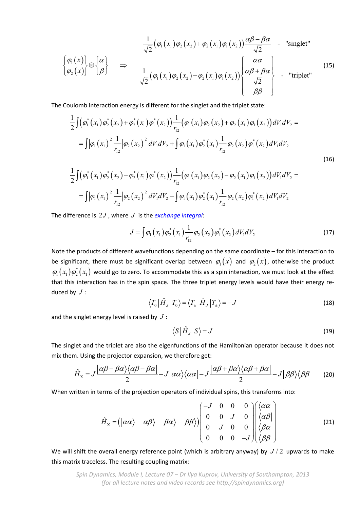$$
\frac{1}{\sqrt{2}}(\varphi_1(x_1)\varphi_2(x_2)+\varphi_2(x_1)\varphi_1(x_2))\frac{\alpha\beta-\beta\alpha}{\sqrt{2}} \quad \text{- "singlet"}
$$
\n
$$
\left\{\varphi_1(x)\right\}\otimes\left\{\alpha\right\}\qquad \Rightarrow \qquad \frac{1}{\sqrt{2}}(\varphi_1(x_1)\varphi_2(x_2)-\varphi_2(x_1)\varphi_1(x_2))\left\{\frac{\alpha\alpha}{\sqrt{2}}\right\}\qquad \text{- "triplet"}
$$
\n
$$
\left\{\varphi_2(x)\right\}\otimes\left\{\beta\right\}\qquad \text{(15)}
$$

The Coulomb interaction energy is different for the singlet and the triplet state:

$$
\frac{1}{2}\int \left(\phi_1^*(x_1)\phi_2^*(x_2) + \phi_2^*(x_1)\phi_1^*(x_2)\right) \frac{1}{r_{12}}\left(\phi_1(x_1)\phi_2(x_2) + \phi_2(x_1)\phi_1(x_2)\right) dV_1 dV_2 =
$$
\n
$$
= \int \left|\phi_1(x_1)\right|^2 \frac{1}{r_{12}} \left|\phi_2(x_2)\right|^2 dV_1 dV_2 + \int \phi_1(x_1)\phi_2^*(x_1) \frac{1}{r_{12}} \phi_2(x_2)\phi_1^*(x_2) dV_1 dV_2
$$
\n(16)

$$
\frac{1}{2}\int (\varphi_1^*(x_1)\varphi_2^*(x_2) - \varphi_2^*(x_1)\varphi_1^*(x_2)) \frac{1}{r_{12}} (\varphi_1(x_1)\varphi_2(x_2) - \varphi_2(x_1)\varphi_1(x_2)) dV_1 dV_2 = \\ = \int |\varphi_1(x_1)|^2 \frac{1}{r_{12}} |\varphi_2(x_2)|^2 dV_1 dV_2 - \int \varphi_1(x_1)\varphi_2^*(x_1) \frac{1}{r_{12}} \varphi_2(x_2)\varphi_1^*(x_2) dV_1 dV_2
$$

The difference is 2*J* , where *J* is the *exchange integral*:

$$
J = \int \varphi_1(x_1) \varphi_2^*(x_1) \frac{1}{r_{12}} \varphi_2(x_2) \varphi_1^*(x_2) dV_1 dV_2 \tag{17}
$$

Note the products of different wavefunctions depending on the same coordinate – for this interaction to be significant, there must be significant overlap between  $\varphi_1(x)$  and  $\varphi_2(x)$ , otherwise the product  $\varphi_1(x_1)\varphi_2^*(x_1)$  would go to zero. To accommodate this as a spin interaction, we must look at the effect that this interaction has in the spin space. The three triplet energy levels would have their energy reduced by *J* :

$$
\langle T_0 | \hat{H}_J | T_0 \rangle = \langle T_{\pm} | \hat{H}_J | T_{\pm} \rangle = -J \tag{18}
$$

and the singlet energy level is raised by *J* :

$$
\langle S|\hat{H}_J|S\rangle = J \tag{19}
$$

The singlet and the triplet are also the eigenfunctions of the Hamiltonian operator because it does not mix them. Using the projector expansion, we therefore get:

$$
\hat{H}_{\chi} = J \frac{\left| \alpha \beta - \beta \alpha \right\rangle \left\langle \alpha \beta - \beta \alpha \right|}{2} - J \left| \alpha \alpha \right\rangle \left\langle \alpha \alpha \right| - J \frac{\left| \alpha \beta + \beta \alpha \right\rangle \left\langle \alpha \beta + \beta \alpha \right|}{2} - J \left| \beta \beta \right\rangle \left\langle \beta \beta \right| \tag{20}
$$

When written in terms of the projection operators of individual spins, this transforms into:

$$
\hat{H}_{\rm X} = \left(\left|\alpha\alpha\right\rangle \quad \left|\alpha\beta\right\rangle \quad \left|\beta\alpha\right\rangle \quad \left|\beta\beta\right\rangle\right) \begin{pmatrix}\n-J & 0 & 0 & 0 \\
0 & 0 & J & 0 \\
0 & J & 0 & 0 \\
0 & 0 & 0 & -J\n\end{pmatrix} \begin{pmatrix}\n\left|\alpha\alpha\right| \\
\left|\alpha\beta\right| \\
\left|\beta\alpha\right| \\
\left|\beta\beta\right|\n\end{pmatrix} \tag{21}
$$

We will shift the overall energy reference point (which is arbitrary anyway) by *J* / 2 upwards to make this matrix traceless. The resulting coupling matrix:

*Spin Dynamics, Module I, Lecture 07 – Dr Ilya Kuprov, University of Southampton, 2013 (for all lecture notes and video records see http://spindynamics.org)*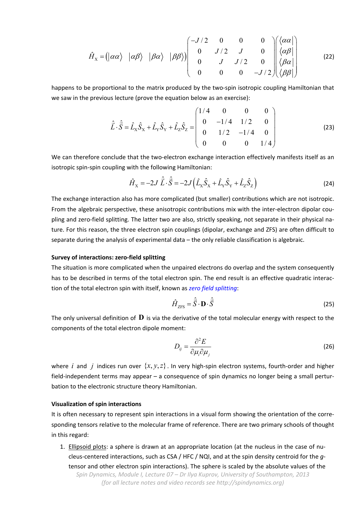$$
\hat{H}_x = (\vert \alpha \alpha \rangle \vert \vert \alpha \beta \rangle \vert \vert \beta \alpha \rangle \vert \vert \beta \beta \rangle) \begin{pmatrix}\n-J/2 & 0 & 0 & 0 \\
0 & J/2 & J & 0 \\
0 & J & J/2 & 0 \\
0 & 0 & 0 & -J/2\n\end{pmatrix} \begin{pmatrix}\n\langle \alpha \alpha \vert \\
\langle \alpha \beta \vert \\
\beta \alpha \vert \\
\langle \beta \beta \vert\n\end{pmatrix}
$$
\n(22)

happens to be proportional to the matrix produced by the two-spin isotropic coupling Hamiltonian that we saw in the previous lecture (prove the equation below as an exercise):

$$
\hat{\vec{L}} \cdot \hat{\vec{S}} = \hat{L}_{\rm x} \hat{S}_{\rm x} + \hat{L}_{\rm y} \hat{S}_{\rm y} + \hat{L}_{\rm z} \hat{S}_{\rm z} = \begin{pmatrix} 1/4 & 0 & 0 & 0 \\ 0 & -1/4 & 1/2 & 0 \\ 0 & 1/2 & -1/4 & 0 \\ 0 & 0 & 0 & 1/4 \end{pmatrix}
$$
(23)

We can therefore conclude that the two-electron exchange interaction effectively manifests itself as an isotropic spin‐spin coupling with the following Hamiltonian:

$$
\hat{H}_{\rm X} = -2J\ \hat{\vec{L}} \cdot \hat{\vec{S}} = -2J\left(\hat{L}_{\rm X}\hat{S}_{\rm X} + \hat{L}_{\rm Y}\hat{S}_{\rm Y} + \hat{L}_{\rm Z}\hat{S}_{\rm Z}\right)
$$
(24)

The exchange interaction also has more complicated (but smaller) contributions which are not isotropic. From the algebraic perspective, these anisotropic contributions mix with the inter-electron dipolar coupling and zero‐field splitting. The latter two are also, strictly speaking, not separate in their physical na‐ ture. For this reason, the three electron spin couplings (dipolar, exchange and ZFS) are often difficult to separate during the analysis of experimental data – the only reliable classification is algebraic.

# **Survey of interactions: zero‐field splitting**

The situation is more complicated when the unpaired electrons do overlap and the system consequently has to be described in terms of the total electron spin. The end result is an effective quadratic interaction of the total electron spin with itself, known as *zero field splitting*:

$$
\hat{H}_{\text{ZFS}} = \hat{\vec{S}} \cdot \mathbf{D} \cdot \hat{\vec{S}} \tag{25}
$$

The only universal definition of **D** is via the derivative of the total molecular energy with respect to the components of the total electron dipole moment:

$$
D_{ij} = \frac{\partial^2 E}{\partial \mu_i \partial \mu_j} \tag{26}
$$

where *i* and *j* indices run over  $\{x, y, z\}$ . In very high-spin electron systems, fourth-order and higher field-independent terms may appear – a consequence of spin dynamics no longer being a small perturbation to the electronic structure theory Hamiltonian.

## **Visualization of spin interactions**

It is often necessary to represent spin interactions in a visual form showing the orientation of the corresponding tensors relative to the molecular frame of reference. There are two primary schools of thought in this regard:

1. Ellipsoid plots: a sphere is drawn at an appropriate location (at the nucleus in the case of nucleus‐centered interactions, such as CSA / HFC / NQI, and at the spin density centroid for the *g*‐ tensor and other electron spin interactions). The sphere is scaled by the absolute values of the

*Spin Dynamics, Module I, Lecture 07 – Dr Ilya Kuprov, University of Southampton, 2013 (for all lecture notes and video records see http://spindynamics.org)*